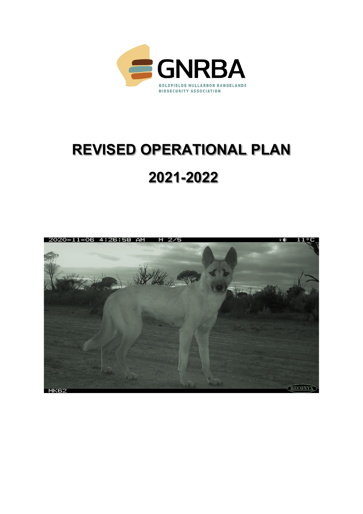

# **REVISED OPERATIONAL PLAN**

## **2021-2022**

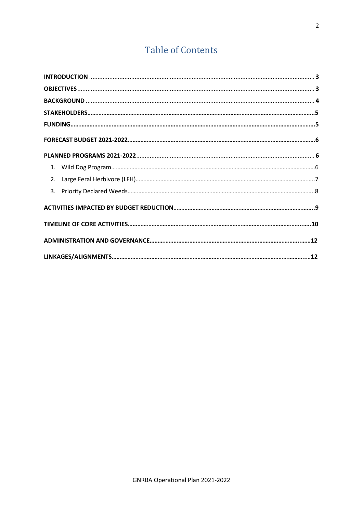### **Table of Contents**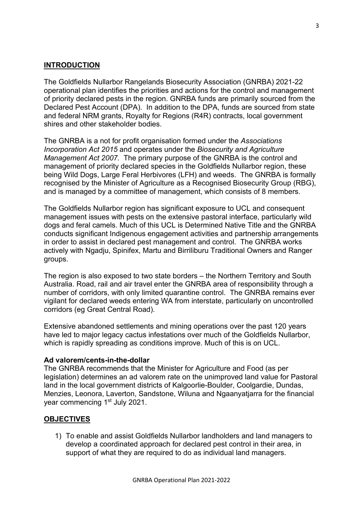#### **INTRODUCTION**

The Goldfields Nullarbor Rangelands Biosecurity Association (GNRBA) 2021-22 operational plan identifies the priorities and actions for the control and management of priority declared pests in the region. GNRBA funds are primarily sourced from the Declared Pest Account (DPA). In addition to the DPA, funds are sourced from state and federal NRM grants, Royalty for Regions (R4R) contracts, local government shires and other stakeholder bodies.

The GNRBA is a not for profit organisation formed under the *Associations Incorporation Act 2015* and operates under the *Biosecurity and Agriculture Management Act 2007.* The primary purpose of the GNRBA is the control and management of priority declared species in the Goldfields Nullarbor region, these being Wild Dogs, Large Feral Herbivores (LFH) and weeds. The GNRBA is formally recognised by the Minister of Agriculture as a Recognised Biosecurity Group (RBG), and is managed by a committee of management, which consists of 8 members.

The Goldfields Nullarbor region has significant exposure to UCL and consequent management issues with pests on the extensive pastoral interface, particularly wild dogs and feral camels. Much of this UCL is Determined Native Title and the GNRBA conducts significant Indigenous engagement activities and partnership arrangements in order to assist in declared pest management and control. The GNRBA works actively with Ngadju, Spinifex, Martu and Birriliburu Traditional Owners and Ranger groups.

The region is also exposed to two state borders – the Northern Territory and South Australia. Road, rail and air travel enter the GNRBA area of responsibility through a number of corridors, with only limited quarantine control. The GNRBA remains ever vigilant for declared weeds entering WA from interstate, particularly on uncontrolled corridors (eg Great Central Road).

Extensive abandoned settlements and mining operations over the past 120 years have led to major legacy cactus infestations over much of the Goldfields Nullarbor, which is rapidly spreading as conditions improve. Much of this is on UCL.

#### **Ad valorem/cents-in-the-dollar**

The GNRBA recommends that the Minister for Agriculture and Food (as per legislation) determines an ad valorem rate on the unimproved land value for Pastoral land in the local government districts of Kalgoorlie-Boulder, Coolgardie, Dundas, Menzies, Leonora, Laverton, Sandstone, Wiluna and Ngaanyatjarra for the financial year commencing 1<sup>st</sup> July 2021.

#### **OBJECTIVES**

1) To enable and assist Goldfields Nullarbor landholders and land managers to develop a coordinated approach for declared pest control in their area, in support of what they are required to do as individual land managers.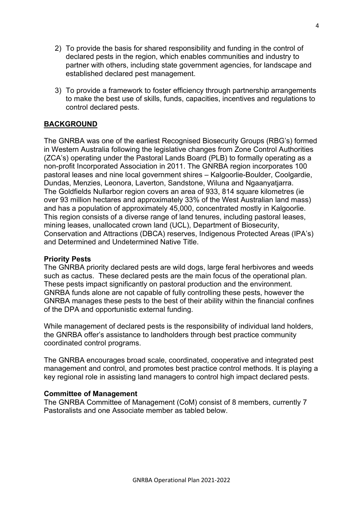- 2) To provide the basis for shared responsibility and funding in the control of declared pests in the region, which enables communities and industry to partner with others, including state government agencies, for landscape and established declared pest management.
- 3) To provide a framework to foster efficiency through partnership arrangements to make the best use of skills, funds, capacities, incentives and regulations to control declared pests.

#### **BACKGROUND**

The GNRBA was one of the earliest Recognised Biosecurity Groups (RBG's) formed in Western Australia following the legislative changes from Zone Control Authorities (ZCA's) operating under the Pastoral Lands Board (PLB) to formally operating as a non-profit Incorporated Association in 2011. The GNRBA region incorporates 100 pastoral leases and nine local government shires – Kalgoorlie-Boulder, Coolgardie, Dundas, Menzies, Leonora, Laverton, Sandstone, Wiluna and Ngaanyatjarra. The Goldfields Nullarbor region covers an area of 933, 814 square kilometres (ie over 93 million hectares and approximately 33% of the West Australian land mass) and has a population of approximately 45,000, concentrated mostly in Kalgoorlie. This region consists of a diverse range of land tenures, including pastoral leases, mining leases, unallocated crown land (UCL), Department of Biosecurity, Conservation and Attractions (DBCA) reserves, Indigenous Protected Areas (IPA's) and Determined and Undetermined Native Title.

#### **Priority Pests**

The GNRBA priority declared pests are wild dogs, large feral herbivores and weeds such as cactus. These declared pests are the main focus of the operational plan. These pests impact significantly on pastoral production and the environment. GNRBA funds alone are not capable of fully controlling these pests, however the GNRBA manages these pests to the best of their ability within the financial confines of the DPA and opportunistic external funding.

While management of declared pests is the responsibility of individual land holders, the GNRBA offer's assistance to landholders through best practice community coordinated control programs.

The GNRBA encourages broad scale, coordinated, cooperative and integrated pest management and control, and promotes best practice control methods. It is playing a key regional role in assisting land managers to control high impact declared pests.

#### **Committee of Management**

The GNRBA Committee of Management (CoM) consist of 8 members, currently 7 Pastoralists and one Associate member as tabled below.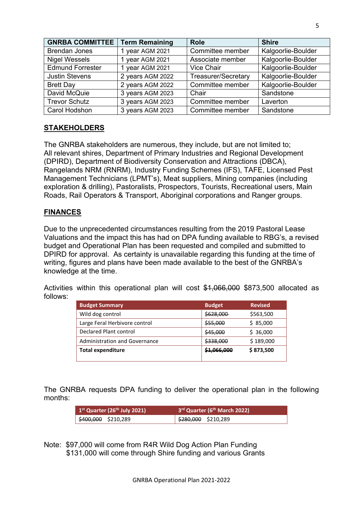| <b>GNRBA COMMITTEE</b>  | <b>Term Remaining</b> | <b>Role</b>                | <b>Shire</b>       |
|-------------------------|-----------------------|----------------------------|--------------------|
| <b>Brendan Jones</b>    | 1 year AGM 2021       | Committee member           | Kalgoorlie-Boulder |
| <b>Nigel Wessels</b>    | 1 year AGM 2021       | Associate member           | Kalgoorlie-Boulder |
| <b>Edmund Forrester</b> | 1 year AGM 2021       | Vice Chair                 | Kalgoorlie-Boulder |
| <b>Justin Stevens</b>   | 2 years AGM 2022      | <b>Treasurer/Secretary</b> | Kalgoorlie-Boulder |
| <b>Brett Day</b>        | 2 years AGM 2022      | Committee member           | Kalgoorlie-Boulder |
| David McQuie            | 3 years AGM 2023      | Chair                      | Sandstone          |
| <b>Trevor Schutz</b>    | 3 years AGM 2023      | Committee member           | Laverton           |
| Carol Hodshon           | 3 years AGM 2023      | Committee member           | Sandstone          |

#### **STAKEHOLDERS**

The GNRBA stakeholders are numerous, they include, but are not limited to; All relevant shires, Department of Primary Industries and Regional Development (DPIRD), Department of Biodiversity Conservation and Attractions (DBCA), Rangelands NRM (RNRM), Industry Funding Schemes (IFS), TAFE, Licensed Pest Management Technicians (LPMT's), Meat suppliers, Mining companies (including exploration & drilling), Pastoralists, Prospectors, Tourists, Recreational users, Main Roads, Rail Operators & Transport, Aboriginal corporations and Ranger groups.

#### **FINANCES**

Due to the unprecedented circumstances resulting from the 2019 Pastoral Lease Valuations and the impact this has had on DPA funding available to RBG's, a revised budget and Operational Plan has been requested and compiled and submitted to DPIRD for approval. As certainty is unavailable regarding this funding at the time of writing, figures and plans have been made available to the best of the GNRBA's knowledge at the time.

Activities within this operational plan will cost \$1,066,000 \$873,500 allocated as follows:

| <b>Budget Summary</b>                | <b>Budget</b> | <b>Revised</b> |
|--------------------------------------|---------------|----------------|
| Wild dog control                     | \$628,000     | \$563,500      |
| Large Feral Herbivore control        | \$55,000      | \$85,000       |
| Declared Plant control               | \$45,000      | \$36,000       |
| <b>Administration and Governance</b> | \$338,000     | \$189,000      |
| <b>Total expenditure</b>             | \$1,066,000   | \$873,500      |

The GNRBA requests DPA funding to deliver the operational plan in the following months:

| $1st$ Quarter (26 <sup>th</sup> July 2021) | 3 <sup>rd</sup> Quarter (6 <sup>th</sup> March 2022) |
|--------------------------------------------|------------------------------------------------------|
| $\frac{1}{2}$ \$400,000 \$210,289          | $\frac{280,000}{2}$ \$210,289                        |

Note: \$97,000 will come from R4R Wild Dog Action Plan Funding \$131,000 will come through Shire funding and various Grants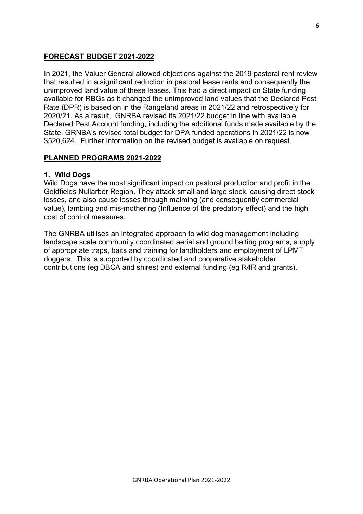#### **FORECAST BUDGET 2021-2022**

In 2021, the Valuer General allowed objections against the 2019 pastoral rent review that resulted in a significant reduction in pastoral lease rents and consequently the unimproved land value of these leases. This had a direct impact on State funding available for RBGs as it changed the unimproved land values that the Declared Pest Rate (DPR) is based on in the Rangeland areas in 2021/22 and retrospectively for 2020/21. As a result, GNRBA revised its 2021/22 budget in line with available Declared Pest Account funding, including the additional funds made available by the State. GRNBA's revised total budget for DPA funded operations in 2021/22 is now \$520,624. Further information on the revised budget is available on request.

#### **PLANNED PROGRAMS 2021-2022**

#### **1. Wild Dogs**

Wild Dogs have the most significant impact on pastoral production and profit in the Goldfields Nullarbor Region. They attack small and large stock, causing direct stock losses, and also cause losses through maiming (and consequently commercial value), lambing and mis-mothering (Influence of the predatory effect) and the high cost of control measures.

The GNRBA utilises an integrated approach to wild dog management including landscape scale community coordinated aerial and ground baiting programs, supply of appropriate traps, baits and training for landholders and employment of LPMT doggers. This is supported by coordinated and cooperative stakeholder contributions (eg DBCA and shires) and external funding (eg R4R and grants).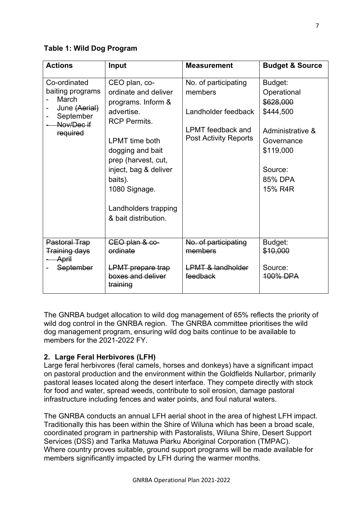#### **Table 1: Wild Dog Program**

| <b>Actions</b>                                                                                    | Input                                                                                                                                                                                                                                                                     | <b>Measurement</b>                                                                                                 | <b>Budget &amp; Source</b>                                                                                                       |
|---------------------------------------------------------------------------------------------------|---------------------------------------------------------------------------------------------------------------------------------------------------------------------------------------------------------------------------------------------------------------------------|--------------------------------------------------------------------------------------------------------------------|----------------------------------------------------------------------------------------------------------------------------------|
| Co-ordinated<br>baiting programs<br>March<br>June (Aerial)<br>September<br>Nov/Dec if<br>required | CEO plan, co-<br>ordinate and deliver<br>programs. Inform &<br>advertise.<br><b>RCP Permits.</b><br><b>LPMT</b> time both<br>dogging and bait<br>prep (harvest, cut,<br>inject, bag & deliver<br>baits).<br>1080 Signage.<br>Landholders trapping<br>& bait distribution. | No. of participating<br>members<br>Landholder feedback<br><b>LPMT</b> feedback and<br><b>Post Activity Reports</b> | Budget:<br>Operational<br>\$628,000<br>\$444,500<br>Administrative &<br>Governance<br>\$119,000<br>Source:<br>85% DPA<br>15% R4R |
| <b>Pastoral Trap</b><br><b>Training days</b><br>April<br>September                                | CEO plan & co-<br>ordinate<br><b>LPMT</b> prepare trap<br>boxes and deliver<br>training                                                                                                                                                                                   | No. of participating<br>members<br><b>LPMT &amp; landholder</b><br>feedback                                        | Budget:<br>\$10,000<br>Source:<br>100% DPA                                                                                       |

The GNRBA budget allocation to wild dog management of 65% reflects the priority of wild dog control in the GNRBA region. The GNRBA committee prioritises the wild dog management program, ensuring wild dog baits continue to be available to members for the 2021-2022 FY

#### **2. Large Feral Herbivores (LFH)**

Large feral herbivores (feral camels, horses and donkeys) have a significant impact on pastoral production and the environment within the Goldfields Nullarbor, primarily pastoral leases located along the desert interface. They compete directly with stock for food and water, spread weeds, contribute to soil erosion, damage pastoral infrastructure including fences and water points, and foul natural waters.

The GNRBA conducts an annual LFH aerial shoot in the area of highest LFH impact. Traditionally this has been within the Shire of Wiluna which has been a broad scale, coordinated program in partnership with Pastoralists, Wiluna Shire, Desert Support Services (DSS) and Tarlka Matuwa Piarku Aboriginal Corporation (TMPAC). Where country proves suitable, ground support programs will be made available for members significantly impacted by LFH during the warmer months.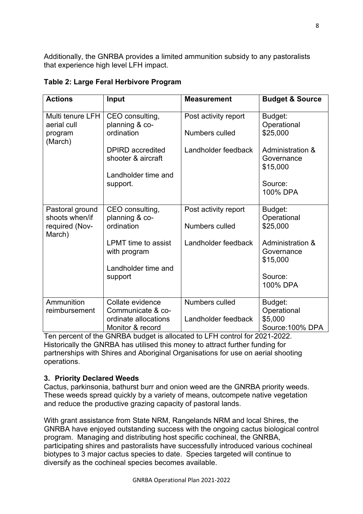Additionally, the GNRBA provides a limited ammunition subsidy to any pastoralists that experience high level LFH impact.

| <b>Actions</b>                             | Input                                         | <b>Measurement</b>   | <b>Budget &amp; Source</b>                            |
|--------------------------------------------|-----------------------------------------------|----------------------|-------------------------------------------------------|
| Multi tenure LFH<br>aerial cull            | CEO consulting,<br>planning & co-             | Post activity report | Budget:<br>Operational                                |
| program<br>(March)                         | ordination                                    | Numbers culled       | \$25,000                                              |
|                                            | <b>DPIRD</b> accredited<br>shooter & aircraft | Landholder feedback  | <b>Administration &amp;</b><br>Governance<br>\$15,000 |
|                                            | Landholder time and                           |                      |                                                       |
|                                            | support.                                      |                      | Source:<br>100% DPA                                   |
| Pastoral ground                            | CEO consulting,                               | Post activity report | Budget:                                               |
| shoots when/if<br>required (Nov-<br>March) | planning & co-<br>ordination                  | Numbers culled       | Operational<br>\$25,000                               |
|                                            | <b>LPMT</b> time to assist<br>with program    | Landholder feedback  | <b>Administration &amp;</b><br>Governance             |
|                                            |                                               |                      | \$15,000                                              |
|                                            | Landholder time and                           |                      |                                                       |
|                                            | support                                       |                      | Source:<br>100% DPA                                   |
|                                            |                                               |                      |                                                       |
| Ammunition                                 | Collate evidence                              | Numbers culled       | Budget:                                               |
| reimbursement                              | Communicate & co-<br>ordinate allocations     | Landholder feedback  | Operational<br>\$5,000                                |
|                                            | Monitor & record                              |                      | Source: 100% DPA                                      |

#### **Table 2: Large Feral Herbivore Program**

Ten percent of the GNRBA budget is allocated to LFH control for 2021-2022. Historically the GNRBA has utilised this money to attract further funding for partnerships with Shires and Aboriginal Organisations for use on aerial shooting operations.

#### **3. Priority Declared Weeds**

Cactus, parkinsonia, bathurst burr and onion weed are the GNRBA priority weeds. These weeds spread quickly by a variety of means, outcompete native vegetation and reduce the productive grazing capacity of pastoral lands.

With grant assistance from State NRM, Rangelands NRM and local Shires, the GNRBA have enjoyed outstanding success with the ongoing cactus biological control program. Managing and distributing host specific cochineal, the GNRBA, participating shires and pastoralists have successfully introduced various cochineal biotypes to 3 major cactus species to date. Species targeted will continue to diversify as the cochineal species becomes available.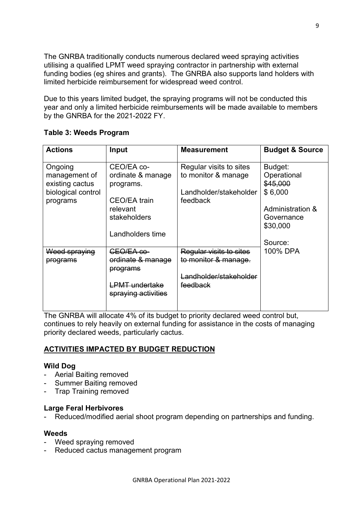The GNRBA traditionally conducts numerous declared weed spraying activities utilising a qualified LPMT weed spraying contractor in partnership with external funding bodies (eg shires and grants). The GNRBA also supports land holders with limited herbicide reimbursement for widespread weed control.

Due to this years limited budget, the spraying programs will not be conducted this year and only a limited herbicide reimbursements will be made available to members by the GNRBA for the 2021-2022 FY.

| <b>Actions</b>                   | Input                                            | <b>Measurement</b>      | <b>Budget &amp; Source</b> |
|----------------------------------|--------------------------------------------------|-------------------------|----------------------------|
| Ongoing                          | CEO/EA co-                                       | Regular visits to sites | Budget:                    |
| management of<br>existing cactus | ordinate & manage<br>programs.                   | to monitor & manage     | Operational<br>\$45,000    |
| biological control               |                                                  | Landholder/stakeholder  | \$6,000                    |
| programs                         | <b>CEO/EA</b> train                              | feedback                |                            |
|                                  | relevant                                         |                         | Administration &           |
|                                  | stakeholders                                     |                         | Governance<br>\$30,000     |
|                                  | Landholders time                                 |                         |                            |
|                                  |                                                  |                         | Source:                    |
| <del>Weed spraying</del>         | CEO/EA co-                                       | Regular visits to sites | 100% DPA                   |
| <del>programs</del>              | erdinate & manage<br>programs                    | to monitor & manage.    |                            |
|                                  |                                                  | Landholder/stakeholder  |                            |
|                                  | <del>_PMT undertake</del><br>spraying activities | feedback                |                            |
|                                  |                                                  |                         |                            |

#### **Table 3: Weeds Program**

The GNRBA will allocate 4% of its budget to priority declared weed control but, continues to rely heavily on external funding for assistance in the costs of managing priority declared weeds, particularly cactus.

#### **ACTIVITIES IMPACTED BY BUDGET REDUCTION**

#### **Wild Dog**

- Aerial Baiting removed
- Summer Baiting removed
- Trap Training removed

#### **Large Feral Herbivores**

- Reduced/modified aerial shoot program depending on partnerships and funding.

#### **Weeds**

- Weed spraying removed
- Reduced cactus management program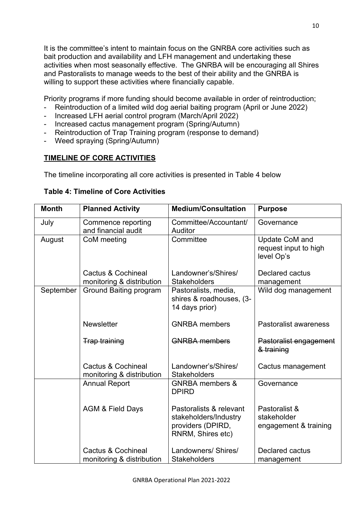It is the committee's intent to maintain focus on the GNRBA core activities such as bait production and availability and LFH management and undertaking these activities when most seasonally effective. The GNRBA will be encouraging all Shires and Pastoralists to manage weeds to the best of their ability and the GNRBA is willing to support these activities where financially capable.

Priority programs if more funding should become available in order of reintroduction;

- Reintroduction of a limited wild dog aerial baiting program (April or June 2022)
- Increased LFH aerial control program (March/April 2022)
- Increased cactus management program (Spring/Autumn)
- Reintroduction of Trap Training program (response to demand)
- Weed spraying (Spring/Autumn)

#### **TIMELINE OF CORE ACTIVITIES**

The timeline incorporating all core activities is presented in Table 4 below

#### **Table 4: Timeline of Core Activities**

| <b>Month</b> | <b>Planned Activity</b>                                    | <b>Medium/Consultation</b>                                                                 | <b>Purpose</b>                                        |
|--------------|------------------------------------------------------------|--------------------------------------------------------------------------------------------|-------------------------------------------------------|
| July         | Commence reporting                                         | Committee/Accountant/                                                                      | Governance                                            |
| August       | and financial audit<br>CoM meeting                         | Auditor<br>Committee                                                                       | Update CoM and                                        |
|              |                                                            |                                                                                            | request input to high<br>level Op's                   |
|              | <b>Cactus &amp; Cochineal</b><br>monitoring & distribution | Landowner's/Shires/<br><b>Stakeholders</b>                                                 | Declared cactus<br>management                         |
| September    | <b>Ground Baiting program</b>                              | Pastoralists, media,<br>shires & roadhouses, (3-<br>14 days prior)                         | Wild dog management                                   |
|              | <b>Newsletter</b>                                          | <b>GNRBA</b> members                                                                       | Pastoralist awareness                                 |
|              | <b>Trap training</b>                                       | <b>GNRBA</b> members                                                                       | Pastoralist engagement<br>& training                  |
|              | <b>Cactus &amp; Cochineal</b><br>monitoring & distribution | Landowner's/Shires/<br><b>Stakeholders</b>                                                 | Cactus management                                     |
|              | <b>Annual Report</b>                                       | <b>GNRBA</b> members &<br><b>DPIRD</b>                                                     | Governance                                            |
|              | <b>AGM &amp; Field Days</b>                                | Pastoralists & relevant<br>stakeholders/Industry<br>providers (DPIRD,<br>RNRM, Shires etc) | Pastoralist &<br>stakeholder<br>engagement & training |
|              | <b>Cactus &amp; Cochineal</b>                              | Landowners/ Shires/<br><b>Stakeholders</b>                                                 | <b>Declared cactus</b>                                |
|              | monitoring & distribution                                  |                                                                                            | management                                            |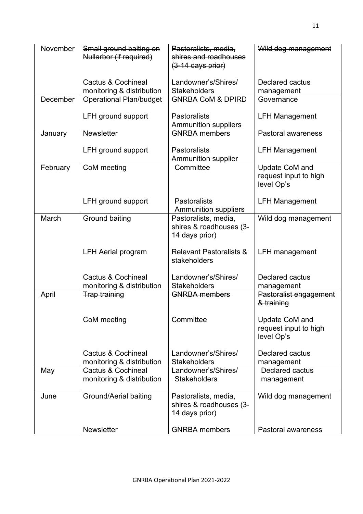| November | Small ground baiting on<br>Nullarbor (if required) | Pastoralists, media,<br>shires and roadhouses<br>$(3-14$ days prior) | Wild dog management                                   |
|----------|----------------------------------------------------|----------------------------------------------------------------------|-------------------------------------------------------|
|          |                                                    |                                                                      |                                                       |
|          | Cactus & Cochineal                                 | Landowner's/Shires/                                                  | <b>Declared cactus</b>                                |
|          | monitoring & distribution                          | <b>Stakeholders</b>                                                  | management                                            |
| December | <b>Operational Plan/budget</b>                     | <b>GNRBA CoM &amp; DPIRD</b>                                         | Governance                                            |
|          | LFH ground support                                 | <b>Pastoralists</b>                                                  | <b>LFH Management</b>                                 |
|          |                                                    | <b>Ammunition suppliers</b>                                          |                                                       |
| January  | <b>Newsletter</b>                                  | <b>GNRBA</b> members                                                 | Pastoral awareness                                    |
|          | LFH ground support                                 | <b>Pastoralists</b>                                                  | <b>LFH Management</b>                                 |
| February | CoM meeting                                        | <b>Ammunition supplier</b><br>Committee                              | Update CoM and                                        |
|          |                                                    |                                                                      | request input to high<br>level Op's                   |
|          | LFH ground support                                 | <b>Pastoralists</b><br><b>Ammunition suppliers</b>                   | <b>LFH Management</b>                                 |
| March    | Ground baiting                                     | Pastoralists, media,<br>shires & roadhouses (3-<br>14 days prior)    | Wild dog management                                   |
|          | <b>LFH Aerial program</b>                          | <b>Relevant Pastoralists &amp;</b><br>stakeholders                   | <b>LFH</b> management                                 |
|          | Cactus & Cochineal<br>monitoring & distribution    | Landowner's/Shires/<br><b>Stakeholders</b>                           | <b>Declared cactus</b><br>management                  |
| April    | <b>Trap training</b>                               | <b>GNRBA</b> members                                                 | Pastoralist engagement<br>& training                  |
|          | CoM meeting                                        | Committee                                                            | Update CoM and<br>request input to high<br>level Op's |
|          | Cactus & Cochineal<br>monitoring & distribution    | Landowner's/Shires/<br><b>Stakeholders</b>                           | Declared cactus<br>management                         |
| May      | Cactus & Cochineal<br>monitoring & distribution    | Landowner's/Shires/<br><b>Stakeholders</b>                           | Declared cactus<br>management                         |
| June     | Ground/Aerial baiting                              | Pastoralists, media,<br>shires & roadhouses (3-<br>14 days prior)    | Wild dog management                                   |
|          | <b>Newsletter</b>                                  | <b>GNRBA</b> members                                                 | <b>Pastoral awareness</b>                             |